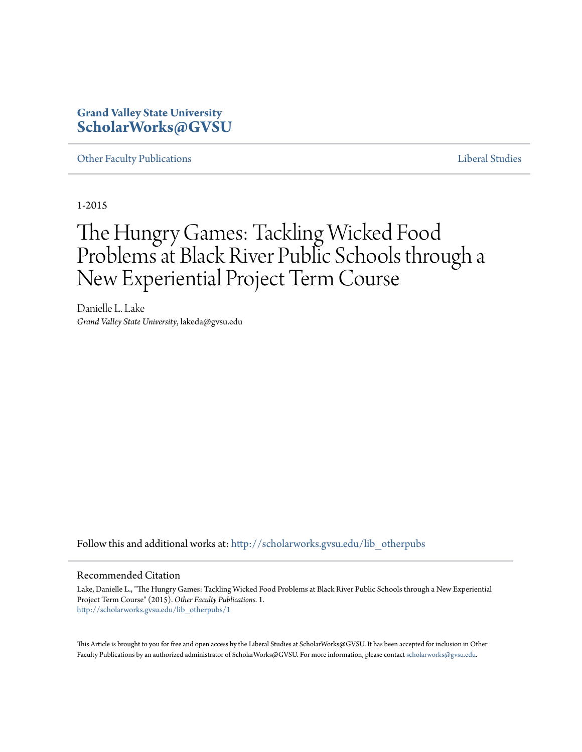# **Grand Valley State University [ScholarWorks@GVSU](http://scholarworks.gvsu.edu?utm_source=scholarworks.gvsu.edu%2Flib_otherpubs%2F1&utm_medium=PDF&utm_campaign=PDFCoverPages)**

[Other Faculty Publications](http://scholarworks.gvsu.edu/lib_otherpubs?utm_source=scholarworks.gvsu.edu%2Flib_otherpubs%2F1&utm_medium=PDF&utm_campaign=PDFCoverPages) **[Liberal Studies](http://scholarworks.gvsu.edu/lib?utm_source=scholarworks.gvsu.edu%2Flib_otherpubs%2F1&utm_medium=PDF&utm_campaign=PDFCoverPages)** 

1-2015

# The Hungry Games: Tackling Wicked Food Problems at Black River Public Schools through a New Experiential Project Term Course

Danielle L. Lake *Grand Valley State University*, lakeda@gvsu.edu

Follow this and additional works at: [http://scholarworks.gvsu.edu/lib\\_otherpubs](http://scholarworks.gvsu.edu/lib_otherpubs?utm_source=scholarworks.gvsu.edu%2Flib_otherpubs%2F1&utm_medium=PDF&utm_campaign=PDFCoverPages)

### Recommended Citation

Lake, Danielle L., "The Hungry Games: Tackling Wicked Food Problems at Black River Public Schools through a New Experiential Project Term Course" (2015). *Other Faculty Publications*. 1. [http://scholarworks.gvsu.edu/lib\\_otherpubs/1](http://scholarworks.gvsu.edu/lib_otherpubs/1?utm_source=scholarworks.gvsu.edu%2Flib_otherpubs%2F1&utm_medium=PDF&utm_campaign=PDFCoverPages)

This Article is brought to you for free and open access by the Liberal Studies at ScholarWorks@GVSU. It has been accepted for inclusion in Other Faculty Publications by an authorized administrator of ScholarWorks@GVSU. For more information, please contact [scholarworks@gvsu.edu.](mailto:scholarworks@gvsu.edu)